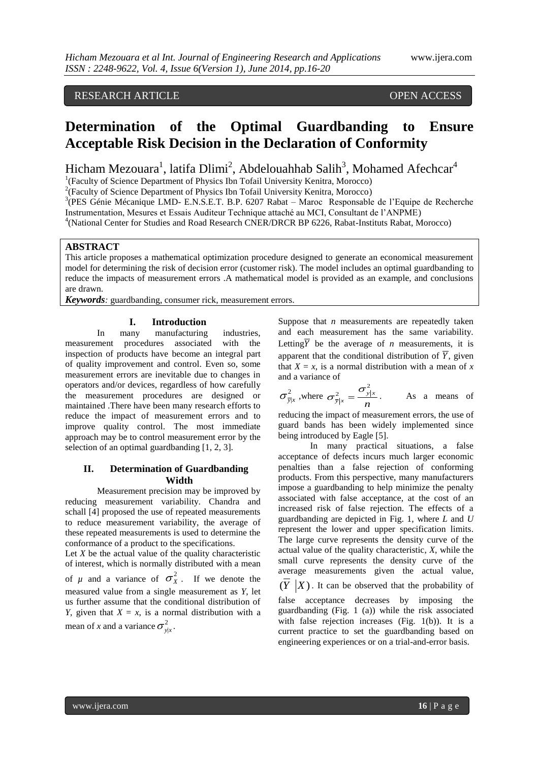# RESEARCH ARTICLE OPEN ACCESS

# **Determination of the Optimal Guardbanding to Ensure Acceptable Risk Decision in the Declaration of Conformity**

Hicham Mezouara<sup>1</sup>, latifa Dlimi<sup>2</sup>, Abdelouahhab Salih<sup>3</sup>, Mohamed Afechcar<sup>4</sup>

<sup>1</sup>(Faculty of Science Department of Physics Ibn Tofail University Kenitra, Morocco)

<sup>2</sup>(Faculty of Science Department of Physics Ibn Tofail University Kenitra, Morocco)

<sup>3</sup>(PES Génie Mécanique LMD- E.N.S.E.T. B.P. 6207 Rabat – Maroc Responsable de l'Equipe de Recherche Instrumentation, Mesures et Essais Auditeur Technique attaché au MCI, Consultant de l'ANPME)

<sup>4</sup>(National Center for Studies and Road Research CNER/DRCR BP 6226, Rabat-Instituts Rabat, Morocco)

# **ABSTRACT**

This article proposes a mathematical optimization procedure designed to generate an economical measurement model for determining the risk of decision error (customer risk). The model includes an optimal guardbanding to reduce the impacts of measurement errors .A mathematical model is provided as an example, and conclusions are drawn.

*Keywords*: guardbanding, consumer rick, measurement errors.

### **I. Introduction**

In many manufacturing industries, measurement procedures associated with the inspection of products have become an integral part of quality improvement and control. Even so, some measurement errors are inevitable due to changes in operators and/or devices, regardless of how carefully the measurement procedures are designed or maintained .There have been many research efforts to reduce the impact of measurement errors and to improve quality control. The most immediate approach may be to control measurement error by the selection of an optimal guardbanding [1, 2, 3].

## **II. Determination of Guardbanding Width**

Measurement precision may be improved by reducing measurement variability. Chandra and schall [4] proposed the use of repeated measurements to reduce measurement variability, the average of these repeated measurements is used to determine the conformance of a product to the specifications.

Let *X* be the actual value of the quality characteristic of interest, which is normally distributed with a mean of  $\mu$  and a variance of  $\sigma_X^2$ . If we denote the measured value from a single measurement as *Y*, let us further assume that the conditional distribution of *Y*, given that  $X = x$ , is a normal distribution with a mean of *x* and a variance  $\sigma_{y|x}^2$ .

Suppose that *n* measurements are repeatedly taken and each measurement has the same variability. Letting  $\overline{Y}$  be the average of *n* measurements, it is apparent that the conditional distribution of  $\overline{Y}$ , given that  $X = x$ , is a normal distribution with a mean of x and a variance of

$$
\sigma_{\bar{y}|x}^2
$$
, where  $\sigma_{\bar{y}|x}^2 = \frac{\sigma_{y|x}^2}{n}$ . As a means of

reducing the impact of measurement errors, the use of guard bands has been widely implemented since being introduced by Eagle [5].

In many practical situations, a false acceptance of defects incurs much larger economic penalties than a false rejection of conforming products. From this perspective, many manufacturers impose a guardbanding to help minimize the penalty associated with false acceptance, at the cost of an increased risk of false rejection. The effects of a guardbanding are depicted in Fig. 1, where *L* and *U* represent the lower and upper specification limits. The large curve represents the density curve of the actual value of the quality characteristic, *X*, while the small curve represents the density curve of the average measurements given the actual value,  $(Y | X)$ . It can be observed that the probability of

false acceptance decreases by imposing the guardbanding (Fig. 1 (a)) while the risk associated with false rejection increases (Fig. 1(b)). It is a current practice to set the guardbanding based on engineering experiences or on a trial-and-error basis.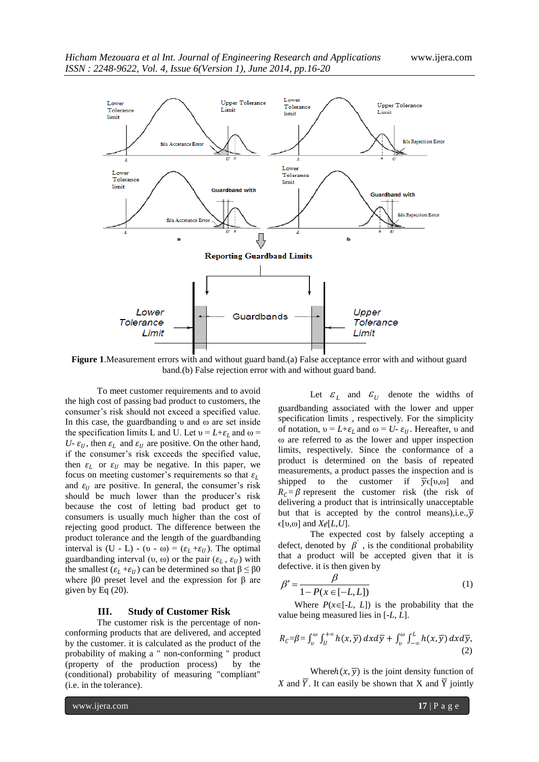

**Figure 1**.Measurement errors with and without guard band.(a) False acceptance error with and without guard band.(b) False rejection error with and without guard band.

To meet customer requirements and to avoid the high cost of passing bad product to customers, the consumer's risk should not exceed a specified value. In this case, the guardbanding υ and ω are set inside the specification limits L and U. Let  $v = L + \varepsilon_L$  and  $\omega =$ *U*-  $\varepsilon_{II}$ , then  $\varepsilon_{I}$  and  $\varepsilon_{II}$  are positive. On the other hand, if the consumer's risk exceeds the specified value, then  $\varepsilon_l$  or  $\varepsilon_l$  may be negative. In this paper, we focus on meeting customer's requirements so that  $\varepsilon_L$ and  $\varepsilon_{II}$  are positive. In general, the consumer's risk should be much lower than the producer's risk because the cost of letting bad product get to consumers is usually much higher than the cost of rejecting good product. The difference between the product tolerance and the length of the guardbanding interval is (U - L) - (υ - ω) = ( $\varepsilon_L$  + $\varepsilon_U$ ). The optimal guardbanding interval (υ, ω) or the pair  $(ε<sub>L</sub>, ε<sub>U</sub>)$  with the smallest  $(\varepsilon_1 + \varepsilon_1)$  can be determined so that  $\beta \leq \beta 0$ where β0 preset level and the expression for β are given by Eq  $(20)$ .

#### **III. Study of Customer Risk**

The customer risk is the percentage of nonconforming products that are delivered, and accepted by the customer. it is calculated as the product of the probability of making a " non-conforming " product (property of the production process) by the (conditional) probability of measuring "compliant" (i.e. in the tolerance).

Let  $\mathcal{E}_L$  and  $\mathcal{E}_U$  denote the widths of guardbanding associated with the lower and upper specification limits , respectively. For the simplicity of notation,  $v = L + \varepsilon_L$  and  $\omega = U - \varepsilon_U$ . Hereafter, v and ω are referred to as the lower and upper inspection limits, respectively. Since the conformance of a product is determined on the basis of repeated measurements, a product passes the inspection and is shipped to the customer if  $\overline{y}\in [0, \infty]$  and  $R_C = \beta$  represent the customer risk (the risk of delivering a product that is intrinsically unacceptable but that is accepted by the control means), i.e.,  $\overline{v}$ ϵ[υ,ω] and *Xɇ*[*L*,*U*].

The expected cost by falsely accepting a defect, denoted by  $\beta$ , is the conditional probability that a product will be accepted given that it is defective. it is then given by

$$
\beta' = \frac{\beta}{1 - P(x \in [-L, L])}
$$
\n(1)

Where  $P(x \in [-L, L])$  is the probability that the value being measured lies in [-*L*, *L*].

$$
R_C = \beta = \int_v^\omega \int_U^{+\infty} h(x, \overline{y}) \, dx \, d\overline{y} + \int_v^\omega \int_{-\infty}^L h(x, \overline{y}) \, dx \, d\overline{y},\tag{2}
$$

Where $h(x, \overline{y})$  is the joint density function of *X* and  $\overline{Y}$ . It can easily be shown that X and  $\overline{Y}$  jointly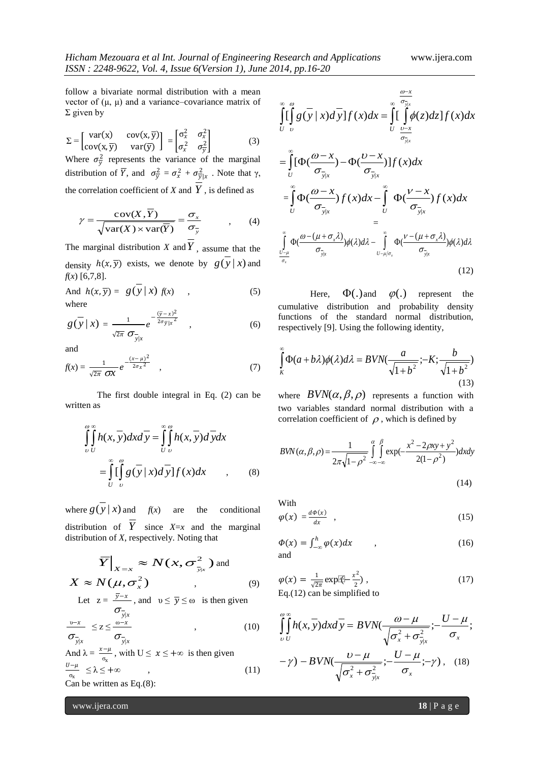follow a bivariate normal distribution with a mean vector of  $(\mu, \mu)$  and a variance–covariance matrix of  $\Sigma$  given by

$$
\Sigma = \begin{bmatrix} \text{var}(\mathbf{x}) & \text{cov}(\mathbf{x}, \overline{\mathbf{y}}) \\ \text{cov}(\mathbf{x}, \overline{\mathbf{y}}) & \text{var}(\overline{\mathbf{y}}) \end{bmatrix} = \begin{bmatrix} \sigma_x^2 & \sigma_x^2 \\ \sigma_x^2 & \sigma_y^2 \end{bmatrix} \tag{3}
$$

Where  $\sigma_{\overline{y}}^2$  represents the variance of the marginal distribution of  $\overline{Y}$ , and  $\sigma_{\overline{y}}^2 = \sigma_x^2 + \sigma_{\overline{y}|x}^2$ . Note that  $\gamma$ , the correlation coefficient of  $X$  and  $Y$ , is defined as

$$
\gamma = \frac{\text{cov}(X,\overline{Y})}{\sqrt{\text{var}(X) \times \text{var}(\overline{Y})}} = \frac{\sigma_x}{\sigma_y}, \qquad (4)
$$

The marginal distribution  $X$  and  $Y$ , assume that the density  $h(x, \overline{y})$  exists, we denote by  $g(y | x)$  and *f*(*x*) [6,7,8].

And 
$$
h(x, \overline{y}) = g(\overline{y} | x) f(x)
$$
, (5)  
where

$$
g(\overline{y} \mid x) = \frac{1}{\sqrt{2\pi}} e^{-\frac{(\overline{y} - x)^2}{2\sigma_{\overline{y}}|x^2}} , \qquad (6)
$$

and

$$
f(x) = \frac{1}{\sqrt{2\pi}} \frac{e^{-\frac{(x-\mu)^2}{2\sigma_x^2}}}{\sqrt{2\pi}} \quad , \tag{7}
$$

The first double integral in Eq. (2) can be written as

$$
\int_{U}^{\omega} \int_{U}^{x} h(x, \overline{y}) dx d\overline{y} = \int_{U}^{\omega} \int_{U}^{u} h(x, \overline{y}) d\overline{y} dx
$$

$$
= \int_{U}^{\omega} \left[ \int_{U}^{u} g(\overline{y} | x) d\overline{y} \right] f(x) dx \qquad , \qquad (8)
$$

where  $g(y|x)$  $f(x)$  are the conditional distribution of  $Y$  since  $X=x$  and the marginal distribution of *X*, respectively. Noting that

$$
\overline{Y}\Big|_{X=x} \approx N(x, \sigma_{\overline{y}|x}^2)
$$
 and  

$$
X \approx N(\mu, \sigma_x^2)
$$
 (9)

Let 
$$
z = \frac{y-x}{\sigma_{\overline{y}|x}}
$$
, and  $v \le \overline{y} \le \omega$  is then given

$$
\frac{v-x}{\sigma_{\bar{y}|x}} \le z \le \frac{v-x}{\sigma_{\bar{y}|x}} \qquad , \qquad (10)
$$

And 
$$
\lambda = \frac{x-\mu}{\sigma_x}
$$
, with  $U \le x \le +\infty$  is then given  
\n
$$
\frac{U-\mu}{\sigma_x} \le \lambda \le +\infty
$$
, (11)  
\nCan be written as Eq.(8):

$$
\int_{U}^{\infty} \int_{U}^{\infty} g(\overline{y} \mid x) d\overline{y} ]f(x) dx = \int_{U}^{\infty} \int_{\frac{U-x}{\sigma_{\overline{y}x}}}^{\frac{\omega - x}{\sigma_{\overline{y}x}}} \phi(z) dz ]f(x) dx
$$

$$
\begin{split}\n&= \int_{U}^{\infty} [\Phi(\frac{\omega - x}{\sigma_{\bar{y}|x}}) - \Phi(\frac{\omega - x}{\sigma_{\bar{y}|x}})] f(x) dx \\
&= \int_{U}^{\infty} \Phi(\frac{\omega - x}{\sigma_{\bar{y}|x}}) f(x) dx - \int_{U}^{\infty} \Phi(\frac{\nu - x}{\sigma_{\bar{y}|x}}) f(x) dx \\
&= \int_{\frac{\omega - \mu}{\sigma_{\bar{y}}}}^{\infty} \Phi(\frac{\omega - (\mu + \sigma_{x}\lambda)}{\sigma_{\bar{y}|x}}) \phi(\lambda) d\lambda - \int_{U - \mu/\sigma_{x}}^{\infty} \Phi(\frac{\nu - (\mu + \sigma_{x}\lambda)}{\sigma_{\bar{y}|x}}) \phi(\lambda) d\lambda\n\end{split}
$$
\n(12)

 $\Phi(.)$  and  $\varphi(.)$  represent the Here, cumulative distribution and probability density functions of the standard normal distribution, respectively [9]. Using the following identity,

$$
\int_{K}^{\infty} \Phi(a+b\lambda)\phi(\lambda)d\lambda = BVN(\frac{a}{\sqrt{1+b^2}};-K;\frac{b}{\sqrt{1+b^2}})
$$
\n(13)

where  $BVN(\alpha, \beta, \rho)$  represents a function with two variables standard normal distribution with a correlation coefficient of  $\rho$ , which is defined by

$$
BWN(\alpha, \beta, \rho) = \frac{1}{2\pi\sqrt{1-\rho^2}} \int_{-\infty-\infty}^{\alpha} \int_{-\infty}^{\beta} \exp(-\frac{x^2 - 2\rho xy + y^2}{2(1-\rho^2)}) dx dy
$$
\n(14)

With

$$
\varphi(x) = \frac{d\Phi(x)}{dx} \quad , \tag{15}
$$

$$
\Phi(x) = \int_{-\infty}^{h} \varphi(x) dx \qquad , \qquad (16)
$$

$$
\varphi(x) = \frac{1}{\sqrt{2\pi}} \exp\left(\frac{x^2}{2}\right),\tag{17}
$$
\nEq (12) can be simplified to

Eq.(12) can be simplified to

$$
\int_{U}^{\omega} \int_{U}^{v} h(x, y) dx dy = B V N \left( \frac{\omega - \mu}{\sqrt{\sigma_x^2 + \sigma_{y|x}^2}} \right) - \frac{U - \mu}{\sigma_x};
$$
  

$$
-\gamma) - B V N \left( \frac{\omega - \mu}{\sqrt{\sigma_x^2 + \sigma_{y|x}^2}} \right) - \frac{U - \mu}{\sigma_x}; -\gamma), \quad (18)
$$

www.ijera.com **18** | P a g e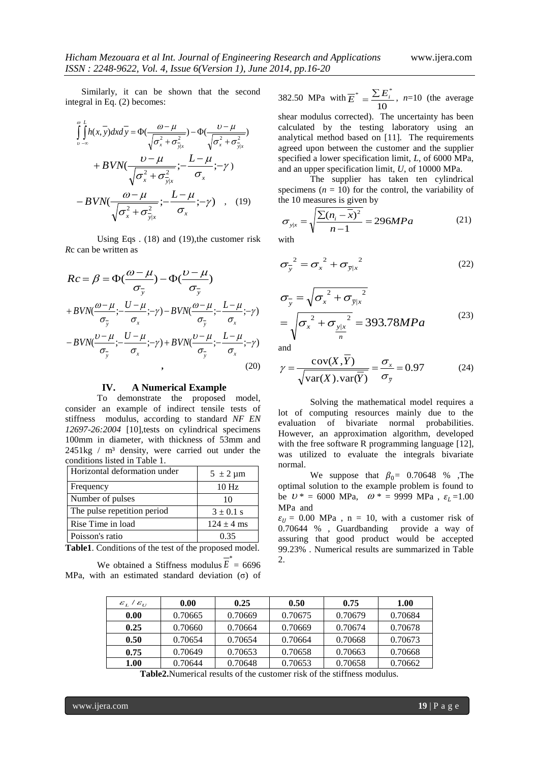Similarly, it can be shown that the second integral in Eq. (2) becomes:

$$
\int_{v-\infty}^{\infty} \int_{v-\infty}^{L} h(x, y) dx dy = \Phi(\frac{\omega - \mu}{\sqrt{\sigma_x^2 + \sigma_{y|x}^2}}) - \Phi(\frac{\omega - \mu}{\sqrt{\sigma_x^2 + \sigma_{y|x}^2}}) \n+ BVN(\frac{\omega - \mu}{\sqrt{\sigma_x^2 + \sigma_{y|x}^2}}; -\frac{L - \mu}{\sigma_x}; -\gamma) \n- BVN(\frac{\omega - \mu}{\sqrt{\sigma_x^2 + \sigma_{y|x}^2}}; -\frac{L - \mu}{\sigma_x}; -\gamma) , \quad (19)
$$

Using Eqs . (18) and (19),the customer risk *R*c can be written as

$$
Rc = \beta = \Phi(\frac{\omega - \mu}{\sigma_{\overline{y}}}) - \Phi(\frac{\nu - \mu}{\sigma_{\overline{y}}})
$$
  
+ 
$$
BVN(\frac{\omega - \mu}{\sigma_{\overline{y}}}; -\frac{U - \mu}{\sigma_{x}}; -\gamma) - BVN(\frac{\omega - \mu}{\sigma_{\overline{y}}}; -\frac{L - \mu}{\sigma_{x}}; -\gamma)
$$
  
- 
$$
BVN(\frac{\nu - \mu}{\sigma_{\overline{y}}}; -\frac{U - \mu}{\sigma_{x}}; -\gamma) + BVN(\frac{\nu - \mu}{\sigma_{\overline{y}}}; -\frac{L - \mu}{\sigma_{x}}; -\gamma)
$$
(20)

#### **IV. A Numerical Example**

To demonstrate the proposed model, consider an example of indirect tensile tests of stiffness modulus, according to standard *NF EN 12697-26:2004* [10],tests on cylindrical specimens 100mm in diameter, with thickness of 53mm and 2451kg / m<sup>3</sup> density, were carried out under the conditions listed in Table 1.

| Horizontal deformation under | $5 \pm 2 \,\mu m$ |
|------------------------------|-------------------|
| Frequency                    | 10 <sub>Hz</sub>  |
| Number of pulses             | 10                |
| The pulse repetition period  | $3 \pm 0.1$ s     |
| Rise Time in load            | $124 \pm 4$ ms    |
| Poisson's ratio              | 0.35              |

**Table1**. Conditions of the test of the proposed model. \*

|  | We obtained a Stiffness modulus $E = 6696$              |  |  |
|--|---------------------------------------------------------|--|--|
|  | MPa, with an estimated standard deviation $(\sigma)$ of |  |  |

382.50 MPa with 10  $\overline{E}^* = \frac{\sum E_i^*}{4\Omega}$ , *n*=10 (the average

shear modulus corrected). The uncertainty has been calculated by the testing laboratory using an analytical method based on [11]. The requirements agreed upon between the customer and the supplier specified a lower specification limit, *L*, of 6000 MPa, and an upper specification limit, *U*, of 10000 MPa.

The supplier has taken ten cylindrical specimens  $(n = 10)$  for the control, the variability of the 10 measures is given by

$$
\sigma_{y|x} = \sqrt{\frac{\sum (n_i - \bar{x})^2}{n - 1}} = 296 MPa
$$
 (21)

$$
\sigma_{\overline{y}}^2 = \sigma_x^2 + \sigma_{\overline{y}|x}^2 \tag{22}
$$

$$
\sigma_{\overline{y}} = \sqrt{{\sigma_x}^2 + {\sigma_{\overline{y}|x}}^2}
$$
  
=  $\sqrt{{\sigma_x}^2 + {\sigma_{\frac{y|x}{n}}^2}} = 393.78 MPa$  (23)

and

$$
\gamma = \frac{\text{cov}(X, Y)}{\sqrt{\text{var}(X) \cdot \text{var}(\overline{Y})}} = \frac{\sigma_x}{\sigma_{\overline{y}}} = 0.97
$$
 (24)

Solving the mathematical model requires a lot of computing resources mainly due to the evaluation of bivariate normal probabilities. However, an approximation algorithm, developed with the free software R programming language [12], was utilized to evaluate the integrals bivariate normal.

We suppose that  $\beta_0$  = 0.70648 % ,The optimal solution to the example problem is found to be  $U^* = 6000 \text{ MPa}$ ,  $\omega^* = 9999 \text{ MPa}$ ,  $\varepsilon_L = 1.00$ MPa and

 $\varepsilon_{II}$  = 0.00 MPa, n = 10, with a customer risk of 0.70644 % , Guardbanding provide a way of assuring that good product would be accepted 99.23% . Numerical results are summarized in Table  $\mathcal{D}$ 

| $\mathcal{E}_L/\mathcal{E}_{U}$ | 0.00    | 0.25    | 0.50    | 0.75    | 1.00    |
|---------------------------------|---------|---------|---------|---------|---------|
| 0.00                            | 0.70665 | 0.70669 | 0.70675 | 0.70679 | 0.70684 |
| 0.25                            | 0.70660 | 0.70664 | 0.70669 | 0.70674 | 0.70678 |
| 0.50                            | 0.70654 | 0.70654 | 0.70664 | 0.70668 | 0.70673 |
| 0.75                            | 0.70649 | 0.70653 | 0.70658 | 0.70663 | 0.70668 |
| 1.00                            | 0.70644 | 0.70648 | 0.70653 | 0.70658 | 0.70662 |

**Table2.**Numerical results of the customer risk of the stiffness modulus.